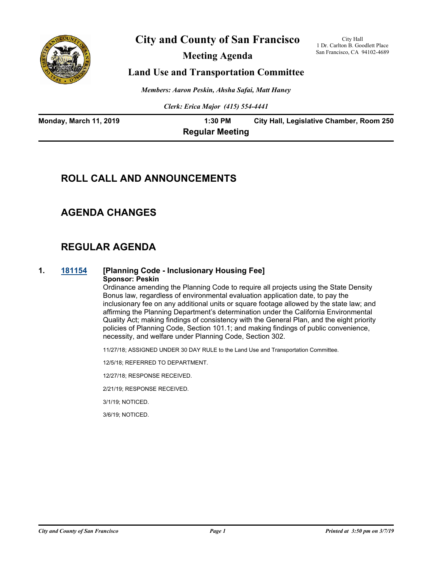

# **City and County of San Francisco**

**Meeting Agenda**

City Hall 1 Dr. Carlton B. Goodlett Place San Francisco, CA 94102-4689

## **Land Use and Transportation Committee**

*Members: Aaron Peskin, Ahsha Safai, Matt Haney*

*Clerk: Erica Major (415) 554-4441*

| <b>Monday, March 11, 2019</b> | 1:30 PM                | City Hall, Legislative Chamber, Room 250 |
|-------------------------------|------------------------|------------------------------------------|
|                               | <b>Regular Meeting</b> |                                          |

# **ROLL CALL AND ANNOUNCEMENTS**

# **AGENDA CHANGES**

# **REGULAR AGENDA**

#### **1. [181154](http://sfgov.legistar.com/gateway.aspx?m=l&id=34023) [Planning Code - Inclusionary Housing Fee] Sponsor: Peskin**

Ordinance amending the Planning Code to require all projects using the State Density Bonus law, regardless of environmental evaluation application date, to pay the inclusionary fee on any additional units or square footage allowed by the state law; and affirming the Planning Department's determination under the California Environmental Quality Act; making findings of consistency with the General Plan, and the eight priority policies of Planning Code, Section 101.1; and making findings of public convenience, necessity, and welfare under Planning Code, Section 302.

11/27/18; ASSIGNED UNDER 30 DAY RULE to the Land Use and Transportation Committee.

12/5/18; REFERRED TO DEPARTMENT.

12/27/18; RESPONSE RECEIVED.

2/21/19; RESPONSE RECEIVED.

3/1/19; NOTICED.

3/6/19; NOTICED.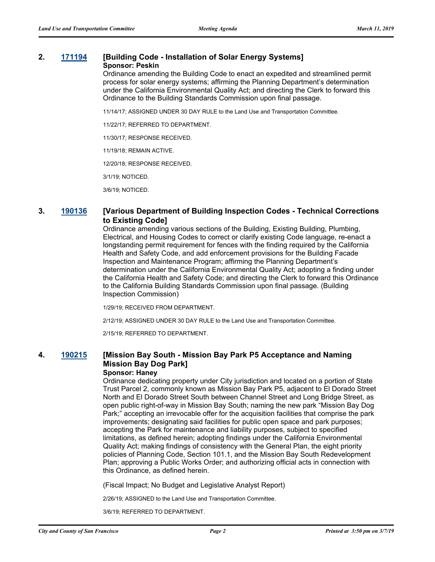# **2. [171194](http://sfgov.legistar.com/gateway.aspx?m=l&id=32736) [Building Code - Installation of Solar Energy Systems]**

#### **Sponsor: Peskin**

Ordinance amending the Building Code to enact an expedited and streamlined permit process for solar energy systems; affirming the Planning Department's determination under the California Environmental Quality Act; and directing the Clerk to forward this Ordinance to the Building Standards Commission upon final passage.

11/14/17; ASSIGNED UNDER 30 DAY RULE to the Land Use and Transportation Committee.

11/22/17; REFERRED TO DEPARTMENT.

11/30/17; RESPONSE RECEIVED.

11/19/18; REMAIN ACTIVE.

12/20/18; RESPONSE RECEIVED.

3/1/19; NOTICED.

3/6/19; NOTICED.

#### **3. [190136](http://sfgov.legistar.com/gateway.aspx?m=l&id=34257) [Various Department of Building Inspection Codes - Technical Corrections to Existing Code]**

Ordinance amending various sections of the Building, Existing Building, Plumbing, Electrical, and Housing Codes to correct or clarify existing Code language, re-enact a longstanding permit requirement for fences with the finding required by the California Health and Safety Code, and add enforcement provisions for the Building Facade Inspection and Maintenance Program; affirming the Planning Department's determination under the California Environmental Quality Act; adopting a finding under the California Health and Safety Code; and directing the Clerk to forward this Ordinance to the California Building Standards Commission upon final passage. (Building Inspection Commission)

1/29/19; RECEIVED FROM DEPARTMENT.

2/12/19; ASSIGNED UNDER 30 DAY RULE to the Land Use and Transportation Committee.

2/15/19; REFERRED TO DEPARTMENT.

### **4. [190215](http://sfgov.legistar.com/gateway.aspx?m=l&id=34336) [Mission Bay South - Mission Bay Park P5 Acceptance and Naming Mission Bay Dog Park]**

#### **Sponsor: Haney**

Ordinance dedicating property under City jurisdiction and located on a portion of State Trust Parcel 2, commonly known as Mission Bay Park P5, adjacent to El Dorado Street North and El Dorado Street South between Channel Street and Long Bridge Street, as open public right-of-way in Mission Bay South; naming the new park "Mission Bay Dog Park;" accepting an irrevocable offer for the acquisition facilities that comprise the park improvements; designating said facilities for public open space and park purposes; accepting the Park for maintenance and liability purposes, subject to specified limitations, as defined herein; adopting findings under the California Environmental Quality Act; making findings of consistency with the General Plan, the eight priority policies of Planning Code, Section 101.1, and the Mission Bay South Redevelopment Plan; approving a Public Works Order; and authorizing official acts in connection with this Ordinance, as defined herein.

(Fiscal Impact; No Budget and Legislative Analyst Report)

2/26/19; ASSIGNED to the Land Use and Transportation Committee.

3/6/19; REFERRED TO DEPARTMENT.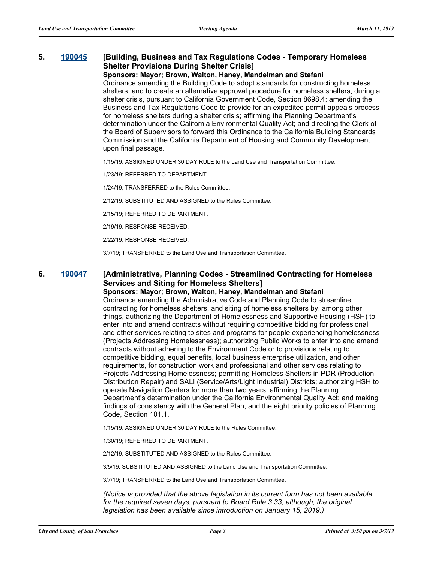### **5. [190045](http://sfgov.legistar.com/gateway.aspx?m=l&id=34166) [Building, Business and Tax Regulations Codes - Temporary Homeless Shelter Provisions During Shelter Crisis]**

#### **Sponsors: Mayor; Brown, Walton, Haney, Mandelman and Stefani**

Ordinance amending the Building Code to adopt standards for constructing homeless shelters, and to create an alternative approval procedure for homeless shelters, during a shelter crisis, pursuant to California Government Code, Section 8698.4; amending the Business and Tax Regulations Code to provide for an expedited permit appeals process for homeless shelters during a shelter crisis; affirming the Planning Department's determination under the California Environmental Quality Act; and directing the Clerk of the Board of Supervisors to forward this Ordinance to the California Building Standards Commission and the California Department of Housing and Community Development upon final passage.

1/15/19; ASSIGNED UNDER 30 DAY RULE to the Land Use and Transportation Committee.

1/23/19; REFERRED TO DEPARTMENT.

1/24/19; TRANSFERRED to the Rules Committee.

2/12/19; SUBSTITUTED AND ASSIGNED to the Rules Committee.

2/15/19; REFERRED TO DEPARTMENT.

2/19/19; RESPONSE RECEIVED.

2/22/19; RESPONSE RECEIVED.

3/7/19; TRANSFERRED to the Land Use and Transportation Committee.

### **6. [190047](http://sfgov.legistar.com/gateway.aspx?m=l&id=34168) [Administrative, Planning Codes - Streamlined Contracting for Homeless Services and Siting for Homeless Shelters]**

**Sponsors: Mayor; Brown, Walton, Haney, Mandelman and Stefani**

Ordinance amending the Administrative Code and Planning Code to streamline contracting for homeless shelters, and siting of homeless shelters by, among other things, authorizing the Department of Homelessness and Supportive Housing (HSH) to enter into and amend contracts without requiring competitive bidding for professional and other services relating to sites and programs for people experiencing homelessness (Projects Addressing Homelessness); authorizing Public Works to enter into and amend contracts without adhering to the Environment Code or to provisions relating to competitive bidding, equal benefits, local business enterprise utilization, and other requirements, for construction work and professional and other services relating to Projects Addressing Homelessness; permitting Homeless Shelters in PDR (Production Distribution Repair) and SALI (Service/Arts/Light Industrial) Districts; authorizing HSH to operate Navigation Centers for more than two years; affirming the Planning Department's determination under the California Environmental Quality Act; and making findings of consistency with the General Plan, and the eight priority policies of Planning Code, Section 101.1.

1/15/19; ASSIGNED UNDER 30 DAY RULE to the Rules Committee.

1/30/19; REFERRED TO DEPARTMENT.

2/12/19; SUBSTITUTED AND ASSIGNED to the Rules Committee.

3/5/19; SUBSTITUTED AND ASSIGNED to the Land Use and Transportation Committee.

3/7/19; TRANSFERRED to the Land Use and Transportation Committee.

*(Notice is provided that the above legislation in its current form has not been available*  for the required seven days, pursuant to Board Rule 3.33; although, the original *legislation has been available since introduction on January 15, 2019.)*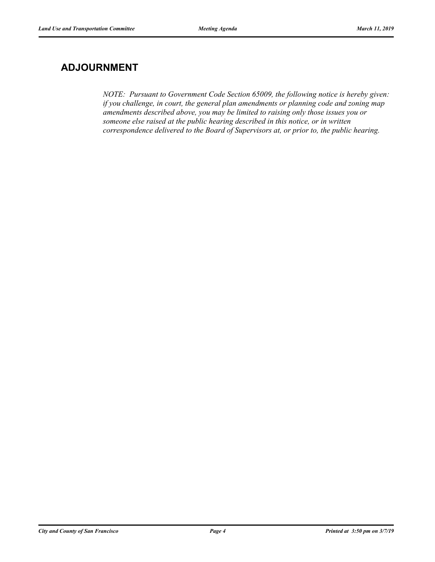# **ADJOURNMENT**

*NOTE: Pursuant to Government Code Section 65009, the following notice is hereby given: if you challenge, in court, the general plan amendments or planning code and zoning map amendments described above, you may be limited to raising only those issues you or someone else raised at the public hearing described in this notice, or in written correspondence delivered to the Board of Supervisors at, or prior to, the public hearing.*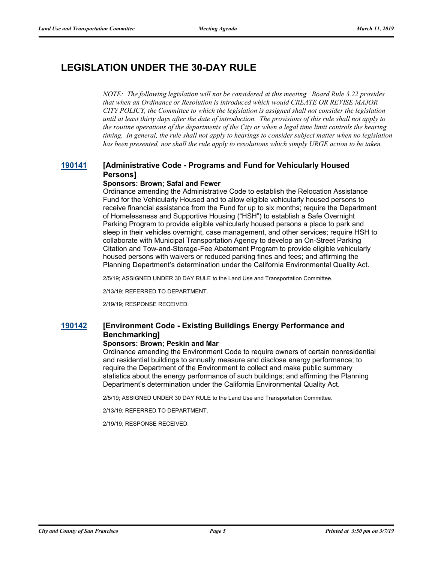# **LEGISLATION UNDER THE 30-DAY RULE**

*NOTE: The following legislation will not be considered at this meeting. Board Rule 3.22 provides that when an Ordinance or Resolution is introduced which would CREATE OR REVISE MAJOR CITY POLICY, the Committee to which the legislation is assigned shall not consider the legislation until at least thirty days after the date of introduction. The provisions of this rule shall not apply to the routine operations of the departments of the City or when a legal time limit controls the hearing timing. In general, the rule shall not apply to hearings to consider subject matter when no legislation has been presented, nor shall the rule apply to resolutions which simply URGE action to be taken.*

### **[190141](http://sfgov.legistar.com/gateway.aspx?m=l&id=34262) [Administrative Code - Programs and Fund for Vehicularly Housed Persons]**

#### **Sponsors: Brown; Safai and Fewer**

Ordinance amending the Administrative Code to establish the Relocation Assistance Fund for the Vehicularly Housed and to allow eligible vehicularly housed persons to receive financial assistance from the Fund for up to six months; require the Department of Homelessness and Supportive Housing ("HSH") to establish a Safe Overnight Parking Program to provide eligible vehicularly housed persons a place to park and sleep in their vehicles overnight, case management, and other services; require HSH to collaborate with Municipal Transportation Agency to develop an On-Street Parking Citation and Tow-and-Storage-Fee Abatement Program to provide eligible vehicularly housed persons with waivers or reduced parking fines and fees; and affirming the Planning Department's determination under the California Environmental Quality Act.

2/5/19; ASSIGNED UNDER 30 DAY RULE to the Land Use and Transportation Committee.

2/13/19; REFERRED TO DEPARTMENT.

2/19/19; RESPONSE RECEIVED.

### **[190142](http://sfgov.legistar.com/gateway.aspx?m=l&id=34263) [Environment Code - Existing Buildings Energy Performance and Benchmarking]**

#### **Sponsors: Brown; Peskin and Mar**

Ordinance amending the Environment Code to require owners of certain nonresidential and residential buildings to annually measure and disclose energy performance; to require the Department of the Environment to collect and make public summary statistics about the energy performance of such buildings; and affirming the Planning Department's determination under the California Environmental Quality Act.

2/5/19; ASSIGNED UNDER 30 DAY RULE to the Land Use and Transportation Committee.

2/13/19; REFERRED TO DEPARTMENT.

2/19/19; RESPONSE RECEIVED.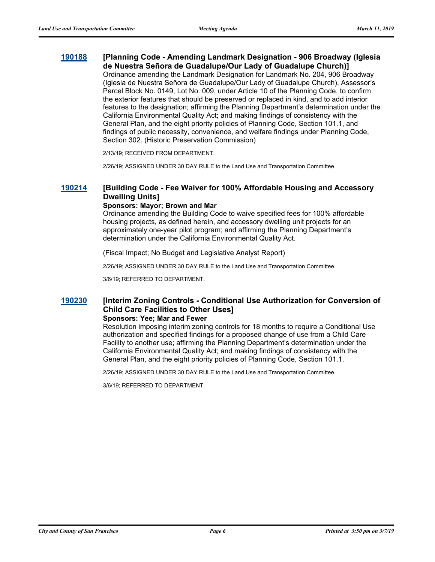#### **[190188](http://sfgov.legistar.com/gateway.aspx?m=l&id=34309) [Planning Code - Amending Landmark Designation - 906 Broadway (Iglesia de Nuestra Señora de Guadalupe/Our Lady of Guadalupe Church)]**

Ordinance amending the Landmark Designation for Landmark No. 204, 906 Broadway (Iglesia de Nuestra Señora de Guadalupe/Our Lady of Guadalupe Church), Assessor's Parcel Block No. 0149, Lot No. 009, under Article 10 of the Planning Code, to confirm the exterior features that should be preserved or replaced in kind, and to add interior features to the designation; affirming the Planning Department's determination under the California Environmental Quality Act; and making findings of consistency with the General Plan, and the eight priority policies of Planning Code, Section 101.1, and findings of public necessity, convenience, and welfare findings under Planning Code, Section 302. (Historic Preservation Commission)

2/13/19; RECEIVED FROM DEPARTMENT.

2/26/19; ASSIGNED UNDER 30 DAY RULE to the Land Use and Transportation Committee.

### **[190214](http://sfgov.legistar.com/gateway.aspx?m=l&id=34335) [Building Code - Fee Waiver for 100% Affordable Housing and Accessory Dwelling Units]**

#### **Sponsors: Mayor; Brown and Mar**

Ordinance amending the Building Code to waive specified fees for 100% affordable housing projects, as defined herein, and accessory dwelling unit projects for an approximately one-year pilot program; and affirming the Planning Department's determination under the California Environmental Quality Act.

(Fiscal Impact; No Budget and Legislative Analyst Report)

2/26/19; ASSIGNED UNDER 30 DAY RULE to the Land Use and Transportation Committee.

3/6/19; REFERRED TO DEPARTMENT.

### **[190230](http://sfgov.legistar.com/gateway.aspx?m=l&id=34351) [Interim Zoning Controls - Conditional Use Authorization for Conversion of Child Care Facilities to Other Uses]**

#### **Sponsors: Yee; Mar and Fewer**

Resolution imposing interim zoning controls for 18 months to require a Conditional Use authorization and specified findings for a proposed change of use from a Child Care Facility to another use; affirming the Planning Department's determination under the California Environmental Quality Act; and making findings of consistency with the General Plan, and the eight priority policies of Planning Code, Section 101.1.

2/26/19; ASSIGNED UNDER 30 DAY RULE to the Land Use and Transportation Committee.

3/6/19; REFERRED TO DEPARTMENT.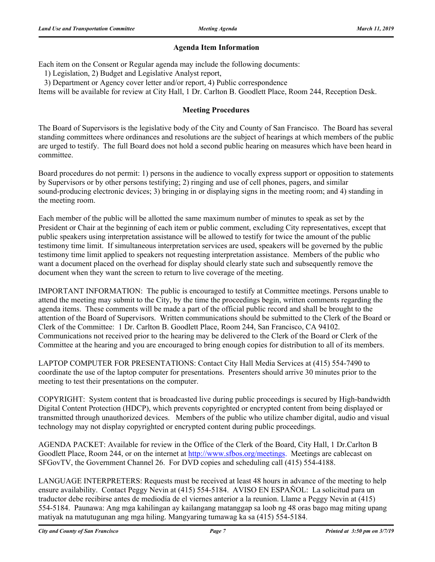### **Agenda Item Information**

Each item on the Consent or Regular agenda may include the following documents:

1) Legislation, 2) Budget and Legislative Analyst report,

3) Department or Agency cover letter and/or report, 4) Public correspondence

Items will be available for review at City Hall, 1 Dr. Carlton B. Goodlett Place, Room 244, Reception Desk.

#### **Meeting Procedures**

The Board of Supervisors is the legislative body of the City and County of San Francisco. The Board has several standing committees where ordinances and resolutions are the subject of hearings at which members of the public are urged to testify. The full Board does not hold a second public hearing on measures which have been heard in committee.

Board procedures do not permit: 1) persons in the audience to vocally express support or opposition to statements by Supervisors or by other persons testifying; 2) ringing and use of cell phones, pagers, and similar sound-producing electronic devices; 3) bringing in or displaying signs in the meeting room; and 4) standing in the meeting room.

Each member of the public will be allotted the same maximum number of minutes to speak as set by the President or Chair at the beginning of each item or public comment, excluding City representatives, except that public speakers using interpretation assistance will be allowed to testify for twice the amount of the public testimony time limit. If simultaneous interpretation services are used, speakers will be governed by the public testimony time limit applied to speakers not requesting interpretation assistance. Members of the public who want a document placed on the overhead for display should clearly state such and subsequently remove the document when they want the screen to return to live coverage of the meeting.

IMPORTANT INFORMATION: The public is encouraged to testify at Committee meetings. Persons unable to attend the meeting may submit to the City, by the time the proceedings begin, written comments regarding the agenda items. These comments will be made a part of the official public record and shall be brought to the attention of the Board of Supervisors. Written communications should be submitted to the Clerk of the Board or Clerk of the Committee: 1 Dr. Carlton B. Goodlett Place, Room 244, San Francisco, CA 94102. Communications not received prior to the hearing may be delivered to the Clerk of the Board or Clerk of the Committee at the hearing and you are encouraged to bring enough copies for distribution to all of its members.

LAPTOP COMPUTER FOR PRESENTATIONS: Contact City Hall Media Services at (415) 554-7490 to coordinate the use of the laptop computer for presentations. Presenters should arrive 30 minutes prior to the meeting to test their presentations on the computer.

COPYRIGHT: System content that is broadcasted live during public proceedings is secured by High-bandwidth Digital Content Protection (HDCP), which prevents copyrighted or encrypted content from being displayed or transmitted through unauthorized devices. Members of the public who utilize chamber digital, audio and visual technology may not display copyrighted or encrypted content during public proceedings.

AGENDA PACKET: Available for review in the Office of the Clerk of the Board, City Hall, 1 Dr.Carlton B Goodlett Place, Room 244, or on the internet at http://www.sfbos.org/meetings. Meetings are cablecast on SFGovTV, the Government Channel 26. For DVD copies and scheduling call (415) 554-4188.

LANGUAGE INTERPRETERS: Requests must be received at least 48 hours in advance of the meeting to help ensure availability. Contact Peggy Nevin at (415) 554-5184. AVISO EN ESPAÑOL: La solicitud para un traductor debe recibirse antes de mediodía de el viernes anterior a la reunion. Llame a Peggy Nevin at (415) 554-5184. Paunawa: Ang mga kahilingan ay kailangang matanggap sa loob ng 48 oras bago mag miting upang matiyak na matutugunan ang mga hiling. Mangyaring tumawag ka sa (415) 554-5184.